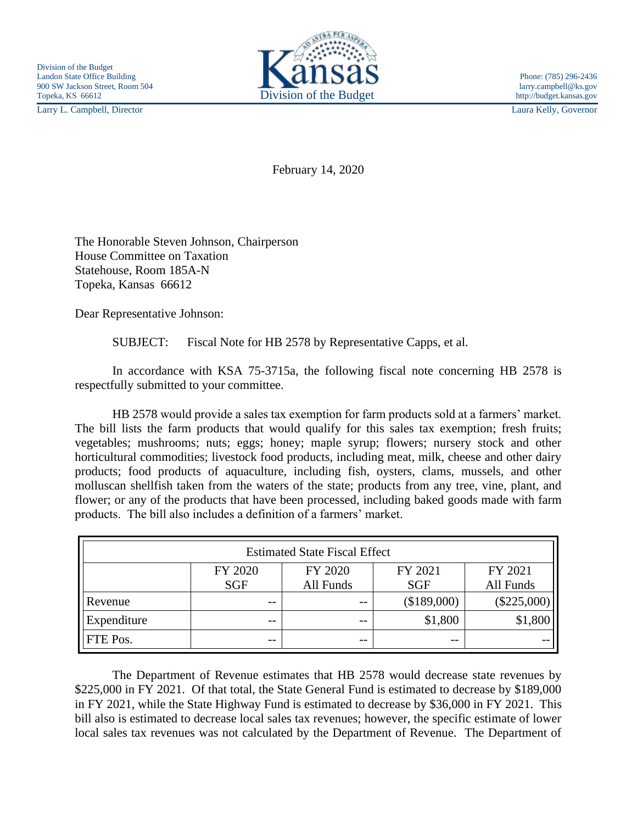Larry L. Campbell, Director Laura Kelly, Governor



February 14, 2020

The Honorable Steven Johnson, Chairperson House Committee on Taxation Statehouse, Room 185A-N Topeka, Kansas 66612

Dear Representative Johnson:

SUBJECT: Fiscal Note for HB 2578 by Representative Capps, et al.

In accordance with KSA 75-3715a, the following fiscal note concerning HB 2578 is respectfully submitted to your committee.

HB 2578 would provide a sales tax exemption for farm products sold at a farmers' market. The bill lists the farm products that would qualify for this sales tax exemption; fresh fruits; vegetables; mushrooms; nuts; eggs; honey; maple syrup; flowers; nursery stock and other horticultural commodities; livestock food products, including meat, milk, cheese and other dairy products; food products of aquaculture, including fish, oysters, clams, mussels, and other molluscan shellfish taken from the waters of the state; products from any tree, vine, plant, and flower; or any of the products that have been processed, including baked goods made with farm products. The bill also includes a definition of a farmers' market.

| <b>Estimated State Fiscal Effect</b> |            |           |             |               |
|--------------------------------------|------------|-----------|-------------|---------------|
|                                      | FY 2020    | FY 2020   | FY 2021     | FY 2021       |
|                                      | <b>SGF</b> | All Funds | <b>SGF</b>  | All Funds     |
| Revenue                              | $- -$      | $- -$     | (\$189,000) | $(\$225,000)$ |
| Expenditure                          | $- -$      | $- -$     | \$1,800     | \$1,800       |
| <b>FTE</b> Pos.                      | $- -$      | $- -$     | $- -$       | --            |

The Department of Revenue estimates that HB 2578 would decrease state revenues by \$225,000 in FY 2021. Of that total, the State General Fund is estimated to decrease by \$189,000 in FY 2021, while the State Highway Fund is estimated to decrease by \$36,000 in FY 2021. This bill also is estimated to decrease local sales tax revenues; however, the specific estimate of lower local sales tax revenues was not calculated by the Department of Revenue. The Department of